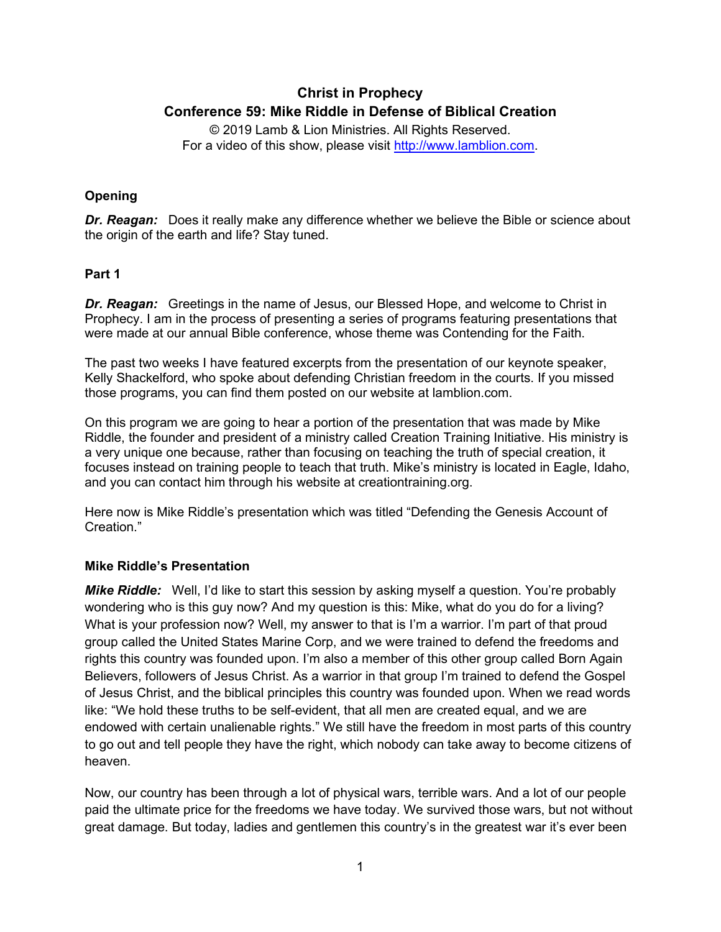# **Christ in Prophecy Conference 59: Mike Riddle in Defense of Biblical Creation**

© 2019 Lamb & Lion Ministries. All Rights Reserved. For a video of this show, please visit [http://www.lamblion.com.](http://www.lamblion.com/)

### **Opening**

**Dr. Reagan:** Does it really make any difference whether we believe the Bible or science about the origin of the earth and life? Stay tuned.

### **Part 1**

**Dr. Reagan:** Greetings in the name of Jesus, our Blessed Hope, and welcome to Christ in Prophecy. I am in the process of presenting a series of programs featuring presentations that were made at our annual Bible conference, whose theme was Contending for the Faith.

The past two weeks I have featured excerpts from the presentation of our keynote speaker, Kelly Shackelford, who spoke about defending Christian freedom in the courts. If you missed those programs, you can find them posted on our website at lamblion.com.

On this program we are going to hear a portion of the presentation that was made by Mike Riddle, the founder and president of a ministry called Creation Training Initiative. His ministry is a very unique one because, rather than focusing on teaching the truth of special creation, it focuses instead on training people to teach that truth. Mike's ministry is located in Eagle, Idaho, and you can contact him through his website at creationtraining.org.

Here now is Mike Riddle's presentation which was titled "Defending the Genesis Account of Creation."

## **Mike Riddle's Presentation**

*Mike Riddle:* Well, I'd like to start this session by asking myself a question. You're probably wondering who is this guy now? And my question is this: Mike, what do you do for a living? What is your profession now? Well, my answer to that is I'm a warrior. I'm part of that proud group called the United States Marine Corp, and we were trained to defend the freedoms and rights this country was founded upon. I'm also a member of this other group called Born Again Believers, followers of Jesus Christ. As a warrior in that group I'm trained to defend the Gospel of Jesus Christ, and the biblical principles this country was founded upon. When we read words like: "We hold these truths to be self-evident, that all men are created equal, and we are endowed with certain unalienable rights." We still have the freedom in most parts of this country to go out and tell people they have the right, which nobody can take away to become citizens of heaven.

Now, our country has been through a lot of physical wars, terrible wars. And a lot of our people paid the ultimate price for the freedoms we have today. We survived those wars, but not without great damage. But today, ladies and gentlemen this country's in the greatest war it's ever been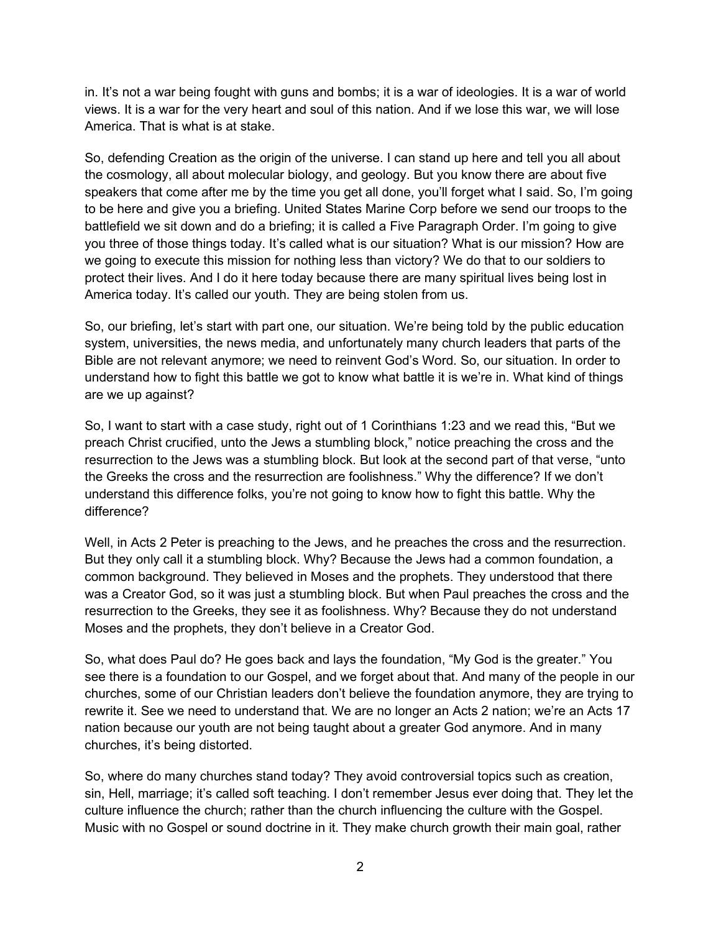in. It's not a war being fought with guns and bombs; it is a war of ideologies. It is a war of world views. It is a war for the very heart and soul of this nation. And if we lose this war, we will lose America. That is what is at stake.

So, defending Creation as the origin of the universe. I can stand up here and tell you all about the cosmology, all about molecular biology, and geology. But you know there are about five speakers that come after me by the time you get all done, you'll forget what I said. So, I'm going to be here and give you a briefing. United States Marine Corp before we send our troops to the battlefield we sit down and do a briefing; it is called a Five Paragraph Order. I'm going to give you three of those things today. It's called what is our situation? What is our mission? How are we going to execute this mission for nothing less than victory? We do that to our soldiers to protect their lives. And I do it here today because there are many spiritual lives being lost in America today. It's called our youth. They are being stolen from us.

So, our briefing, let's start with part one, our situation. We're being told by the public education system, universities, the news media, and unfortunately many church leaders that parts of the Bible are not relevant anymore; we need to reinvent God's Word. So, our situation. In order to understand how to fight this battle we got to know what battle it is we're in. What kind of things are we up against?

So, I want to start with a case study, right out of 1 Corinthians 1:23 and we read this, "But we preach Christ crucified, unto the Jews a stumbling block," notice preaching the cross and the resurrection to the Jews was a stumbling block. But look at the second part of that verse, "unto the Greeks the cross and the resurrection are foolishness." Why the difference? If we don't understand this difference folks, you're not going to know how to fight this battle. Why the difference?

Well, in Acts 2 Peter is preaching to the Jews, and he preaches the cross and the resurrection. But they only call it a stumbling block. Why? Because the Jews had a common foundation, a common background. They believed in Moses and the prophets. They understood that there was a Creator God, so it was just a stumbling block. But when Paul preaches the cross and the resurrection to the Greeks, they see it as foolishness. Why? Because they do not understand Moses and the prophets, they don't believe in a Creator God.

So, what does Paul do? He goes back and lays the foundation, "My God is the greater." You see there is a foundation to our Gospel, and we forget about that. And many of the people in our churches, some of our Christian leaders don't believe the foundation anymore, they are trying to rewrite it. See we need to understand that. We are no longer an Acts 2 nation; we're an Acts 17 nation because our youth are not being taught about a greater God anymore. And in many churches, it's being distorted.

So, where do many churches stand today? They avoid controversial topics such as creation, sin, Hell, marriage; it's called soft teaching. I don't remember Jesus ever doing that. They let the culture influence the church; rather than the church influencing the culture with the Gospel. Music with no Gospel or sound doctrine in it. They make church growth their main goal, rather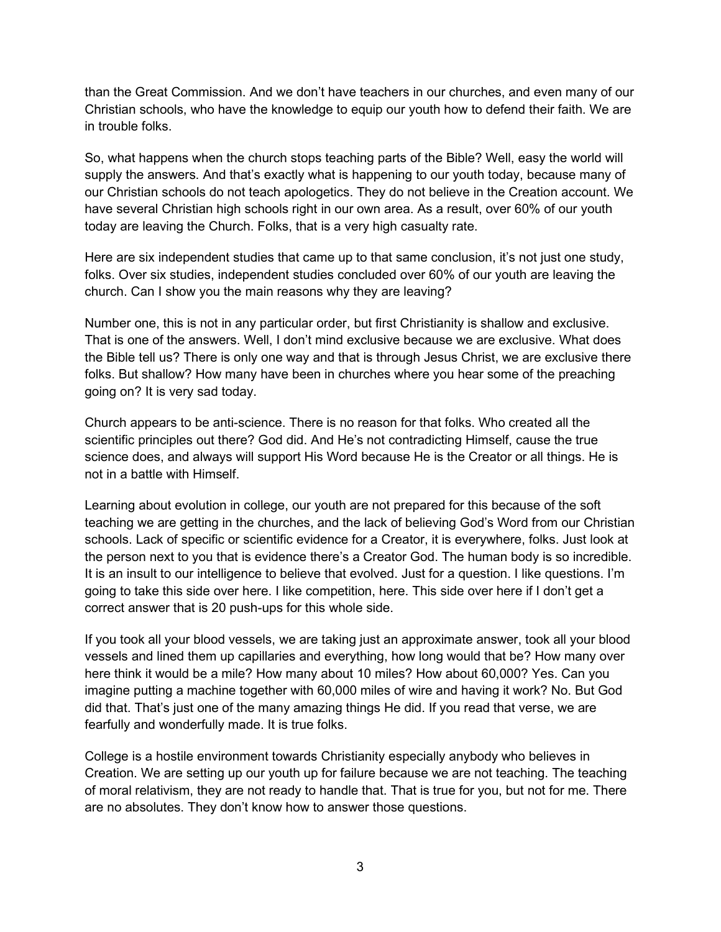than the Great Commission. And we don't have teachers in our churches, and even many of our Christian schools, who have the knowledge to equip our youth how to defend their faith. We are in trouble folks.

So, what happens when the church stops teaching parts of the Bible? Well, easy the world will supply the answers. And that's exactly what is happening to our youth today, because many of our Christian schools do not teach apologetics. They do not believe in the Creation account. We have several Christian high schools right in our own area. As a result, over 60% of our youth today are leaving the Church. Folks, that is a very high casualty rate.

Here are six independent studies that came up to that same conclusion, it's not just one study, folks. Over six studies, independent studies concluded over 60% of our youth are leaving the church. Can I show you the main reasons why they are leaving?

Number one, this is not in any particular order, but first Christianity is shallow and exclusive. That is one of the answers. Well, I don't mind exclusive because we are exclusive. What does the Bible tell us? There is only one way and that is through Jesus Christ, we are exclusive there folks. But shallow? How many have been in churches where you hear some of the preaching going on? It is very sad today.

Church appears to be anti-science. There is no reason for that folks. Who created all the scientific principles out there? God did. And He's not contradicting Himself, cause the true science does, and always will support His Word because He is the Creator or all things. He is not in a battle with Himself.

Learning about evolution in college, our youth are not prepared for this because of the soft teaching we are getting in the churches, and the lack of believing God's Word from our Christian schools. Lack of specific or scientific evidence for a Creator, it is everywhere, folks. Just look at the person next to you that is evidence there's a Creator God. The human body is so incredible. It is an insult to our intelligence to believe that evolved. Just for a question. I like questions. I'm going to take this side over here. I like competition, here. This side over here if I don't get a correct answer that is 20 push-ups for this whole side.

If you took all your blood vessels, we are taking just an approximate answer, took all your blood vessels and lined them up capillaries and everything, how long would that be? How many over here think it would be a mile? How many about 10 miles? How about 60,000? Yes. Can you imagine putting a machine together with 60,000 miles of wire and having it work? No. But God did that. That's just one of the many amazing things He did. If you read that verse, we are fearfully and wonderfully made. It is true folks.

College is a hostile environment towards Christianity especially anybody who believes in Creation. We are setting up our youth up for failure because we are not teaching. The teaching of moral relativism, they are not ready to handle that. That is true for you, but not for me. There are no absolutes. They don't know how to answer those questions.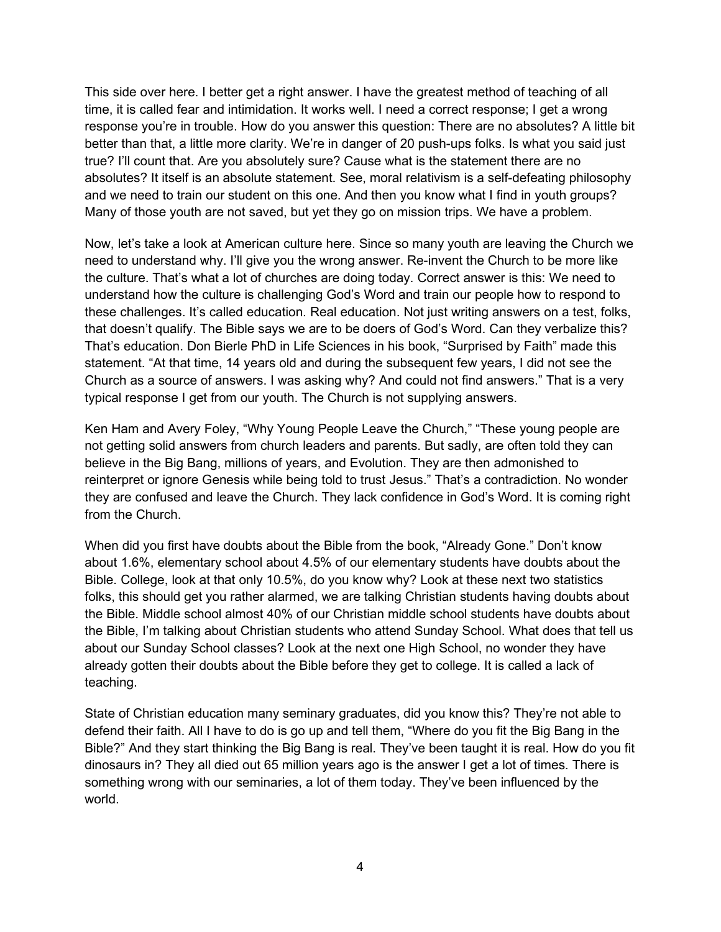This side over here. I better get a right answer. I have the greatest method of teaching of all time, it is called fear and intimidation. It works well. I need a correct response; I get a wrong response you're in trouble. How do you answer this question: There are no absolutes? A little bit better than that, a little more clarity. We're in danger of 20 push-ups folks. Is what you said just true? I'll count that. Are you absolutely sure? Cause what is the statement there are no absolutes? It itself is an absolute statement. See, moral relativism is a self-defeating philosophy and we need to train our student on this one. And then you know what I find in youth groups? Many of those youth are not saved, but yet they go on mission trips. We have a problem.

Now, let's take a look at American culture here. Since so many youth are leaving the Church we need to understand why. I'll give you the wrong answer. Re-invent the Church to be more like the culture. That's what a lot of churches are doing today. Correct answer is this: We need to understand how the culture is challenging God's Word and train our people how to respond to these challenges. It's called education. Real education. Not just writing answers on a test, folks, that doesn't qualify. The Bible says we are to be doers of God's Word. Can they verbalize this? That's education. Don Bierle PhD in Life Sciences in his book, "Surprised by Faith" made this statement. "At that time, 14 years old and during the subsequent few years, I did not see the Church as a source of answers. I was asking why? And could not find answers." That is a very typical response I get from our youth. The Church is not supplying answers.

Ken Ham and Avery Foley, "Why Young People Leave the Church," "These young people are not getting solid answers from church leaders and parents. But sadly, are often told they can believe in the Big Bang, millions of years, and Evolution. They are then admonished to reinterpret or ignore Genesis while being told to trust Jesus." That's a contradiction. No wonder they are confused and leave the Church. They lack confidence in God's Word. It is coming right from the Church.

When did you first have doubts about the Bible from the book, "Already Gone." Don't know about 1.6%, elementary school about 4.5% of our elementary students have doubts about the Bible. College, look at that only 10.5%, do you know why? Look at these next two statistics folks, this should get you rather alarmed, we are talking Christian students having doubts about the Bible. Middle school almost 40% of our Christian middle school students have doubts about the Bible, I'm talking about Christian students who attend Sunday School. What does that tell us about our Sunday School classes? Look at the next one High School, no wonder they have already gotten their doubts about the Bible before they get to college. It is called a lack of teaching.

State of Christian education many seminary graduates, did you know this? They're not able to defend their faith. All I have to do is go up and tell them, "Where do you fit the Big Bang in the Bible?" And they start thinking the Big Bang is real. They've been taught it is real. How do you fit dinosaurs in? They all died out 65 million years ago is the answer I get a lot of times. There is something wrong with our seminaries, a lot of them today. They've been influenced by the world.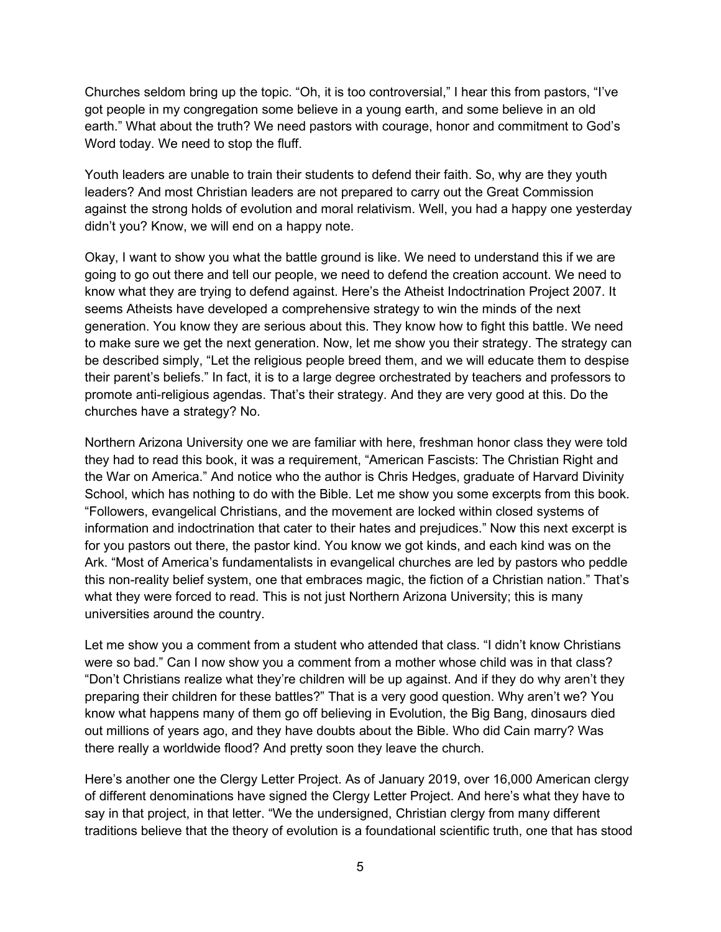Churches seldom bring up the topic. "Oh, it is too controversial," I hear this from pastors, "I've got people in my congregation some believe in a young earth, and some believe in an old earth." What about the truth? We need pastors with courage, honor and commitment to God's Word today. We need to stop the fluff.

Youth leaders are unable to train their students to defend their faith. So, why are they youth leaders? And most Christian leaders are not prepared to carry out the Great Commission against the strong holds of evolution and moral relativism. Well, you had a happy one yesterday didn't you? Know, we will end on a happy note.

Okay, I want to show you what the battle ground is like. We need to understand this if we are going to go out there and tell our people, we need to defend the creation account. We need to know what they are trying to defend against. Here's the Atheist Indoctrination Project 2007. It seems Atheists have developed a comprehensive strategy to win the minds of the next generation. You know they are serious about this. They know how to fight this battle. We need to make sure we get the next generation. Now, let me show you their strategy. The strategy can be described simply, "Let the religious people breed them, and we will educate them to despise their parent's beliefs." In fact, it is to a large degree orchestrated by teachers and professors to promote anti-religious agendas. That's their strategy. And they are very good at this. Do the churches have a strategy? No.

Northern Arizona University one we are familiar with here, freshman honor class they were told they had to read this book, it was a requirement, "American Fascists: The Christian Right and the War on America." And notice who the author is Chris Hedges, graduate of Harvard Divinity School, which has nothing to do with the Bible. Let me show you some excerpts from this book. "Followers, evangelical Christians, and the movement are locked within closed systems of information and indoctrination that cater to their hates and prejudices." Now this next excerpt is for you pastors out there, the pastor kind. You know we got kinds, and each kind was on the Ark. "Most of America's fundamentalists in evangelical churches are led by pastors who peddle this non-reality belief system, one that embraces magic, the fiction of a Christian nation." That's what they were forced to read. This is not just Northern Arizona University; this is many universities around the country.

Let me show you a comment from a student who attended that class. "I didn't know Christians were so bad." Can I now show you a comment from a mother whose child was in that class? "Don't Christians realize what they're children will be up against. And if they do why aren't they preparing their children for these battles?" That is a very good question. Why aren't we? You know what happens many of them go off believing in Evolution, the Big Bang, dinosaurs died out millions of years ago, and they have doubts about the Bible. Who did Cain marry? Was there really a worldwide flood? And pretty soon they leave the church.

Here's another one the Clergy Letter Project. As of January 2019, over 16,000 American clergy of different denominations have signed the Clergy Letter Project. And here's what they have to say in that project, in that letter. "We the undersigned, Christian clergy from many different traditions believe that the theory of evolution is a foundational scientific truth, one that has stood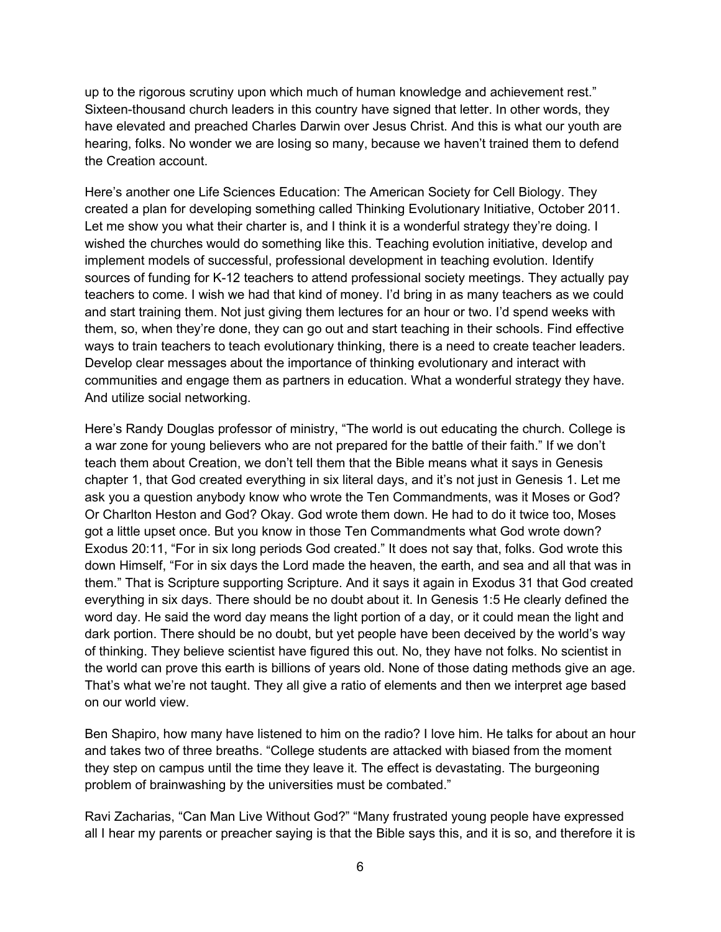up to the rigorous scrutiny upon which much of human knowledge and achievement rest." Sixteen-thousand church leaders in this country have signed that letter. In other words, they have elevated and preached Charles Darwin over Jesus Christ. And this is what our youth are hearing, folks. No wonder we are losing so many, because we haven't trained them to defend the Creation account.

Here's another one Life Sciences Education: The American Society for Cell Biology. They created a plan for developing something called Thinking Evolutionary Initiative, October 2011. Let me show you what their charter is, and I think it is a wonderful strategy they're doing. I wished the churches would do something like this. Teaching evolution initiative, develop and implement models of successful, professional development in teaching evolution. Identify sources of funding for K-12 teachers to attend professional society meetings. They actually pay teachers to come. I wish we had that kind of money. I'd bring in as many teachers as we could and start training them. Not just giving them lectures for an hour or two. I'd spend weeks with them, so, when they're done, they can go out and start teaching in their schools. Find effective ways to train teachers to teach evolutionary thinking, there is a need to create teacher leaders. Develop clear messages about the importance of thinking evolutionary and interact with communities and engage them as partners in education. What a wonderful strategy they have. And utilize social networking.

Here's Randy Douglas professor of ministry, "The world is out educating the church. College is a war zone for young believers who are not prepared for the battle of their faith." If we don't teach them about Creation, we don't tell them that the Bible means what it says in Genesis chapter 1, that God created everything in six literal days, and it's not just in Genesis 1. Let me ask you a question anybody know who wrote the Ten Commandments, was it Moses or God? Or Charlton Heston and God? Okay. God wrote them down. He had to do it twice too, Moses got a little upset once. But you know in those Ten Commandments what God wrote down? Exodus 20:11, "For in six long periods God created." It does not say that, folks. God wrote this down Himself, "For in six days the Lord made the heaven, the earth, and sea and all that was in them." That is Scripture supporting Scripture. And it says it again in Exodus 31 that God created everything in six days. There should be no doubt about it. In Genesis 1:5 He clearly defined the word day. He said the word day means the light portion of a day, or it could mean the light and dark portion. There should be no doubt, but yet people have been deceived by the world's way of thinking. They believe scientist have figured this out. No, they have not folks. No scientist in the world can prove this earth is billions of years old. None of those dating methods give an age. That's what we're not taught. They all give a ratio of elements and then we interpret age based on our world view.

Ben Shapiro, how many have listened to him on the radio? I love him. He talks for about an hour and takes two of three breaths. "College students are attacked with biased from the moment they step on campus until the time they leave it. The effect is devastating. The burgeoning problem of brainwashing by the universities must be combated."

Ravi Zacharias, "Can Man Live Without God?" "Many frustrated young people have expressed all I hear my parents or preacher saying is that the Bible says this, and it is so, and therefore it is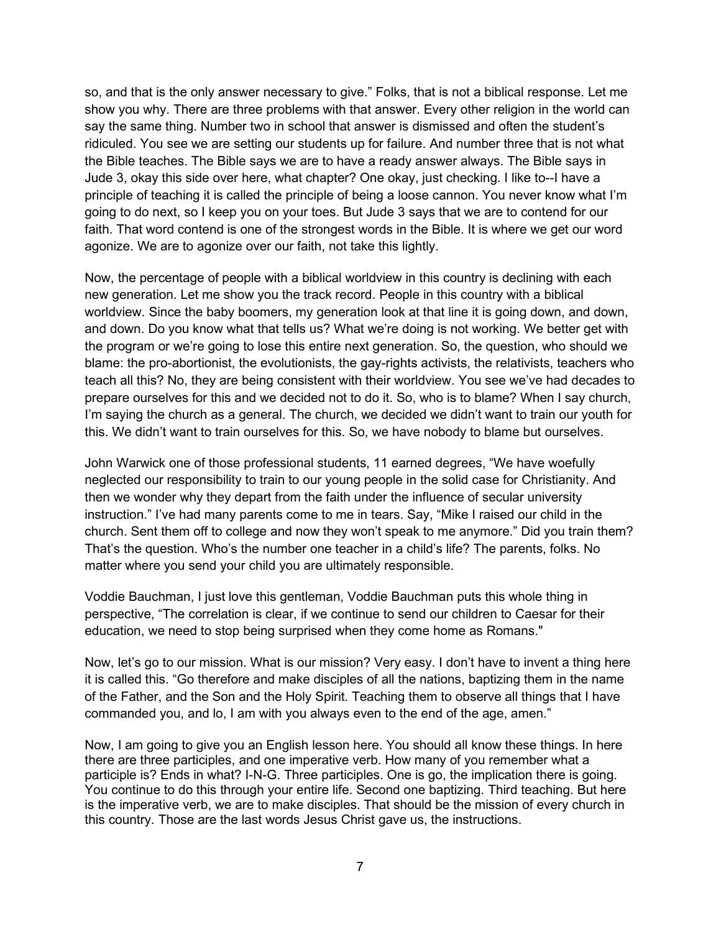so, and that is the only answer necessary to give." Folks, that is not a biblical response. Let me show you why. There are three problems with that answer. Every other religion in the world can say the same thing. Number two in school that answer is dismissed and often the student's ridiculed. You see we are setting our students up for failure. And number three that is not what the Bible teaches. The Bible says we are to have a ready answer always. The Bible says in Jude 3, okay this side over here, what chapter? One okay, just checking. I like to--I have a principle of teaching it is called the principle of being a loose cannon. You never know what I'm going to do next, so I keep you on your toes. But Jude 3 says that we are to contend for our faith. That word contend is one of the strongest words in the Bible. It is where we get our word agonize. We are to agonize over our faith, not take this lightly.

Now, the percentage of people with a biblical worldview in this country is declining with each new generation. Let me show you the track record. People in this country with a biblical worldview. Since the baby boomers, my generation look at that line it is going down, and down, and down. Do you know what that tells us? What we're doing is not working. We better get with the program or we're going to lose this entire next generation. So, the question, who should we blame: the pro-abortionist, the evolutionists, the gay-rights activists, the relativists, teachers who teach all this? No, they are being consistent with their worldview. You see we've had decades to prepare ourselves for this and we decided not to do it. So, who is to blame? When I say church, I'm saying the church as a general. The church, we decided we didn't want to train our youth for this. We didn't want to train ourselves for this. So, we have nobody to blame but ourselves.

John Warwick one of those professional students, 11 earned degrees, "We have woefully neglected our responsibility to train to our young people in the solid case for Christianity. And then we wonder why they depart from the faith under the influence of secular university instruction." I've had many parents come to me in tears. Say, "Mike I raised our child in the church. Sent them off to college and now they won't speak to me anymore." Did you train them? That's the question. Who's the number one teacher in a child's life? The parents, folks. No matter where you send your child you are ultimately responsible.

Voddie Bauchman, I just love this gentleman, Voddie Bauchman puts this whole thing in perspective, "The correlation is clear, if we continue to send our children to Caesar for their education, we need to stop being surprised when they come home as Romans."

Now, let's go to our mission. What is our mission? Very easy. I don't have to invent a thing here it is called this. "Go therefore and make disciples of all the nations, baptizing them in the name of the Father, and the Son and the Holy Spirit. Teaching them to observe all things that I have commanded you, and lo, I am with you always even to the end of the age, amen."

Now, I am going to give you an English lesson here. You should all know these things. In here there are three participles, and one imperative verb. How many of you remember what a participle is? Ends in what? I-N-G. Three participles. One is go, the implication there is going. You continue to do this through your entire life. Second one baptizing. Third teaching. But here is the imperative verb, we are to make disciples. That should be the mission of every church in this country. Those are the last words Jesus Christ gave us, the instructions.